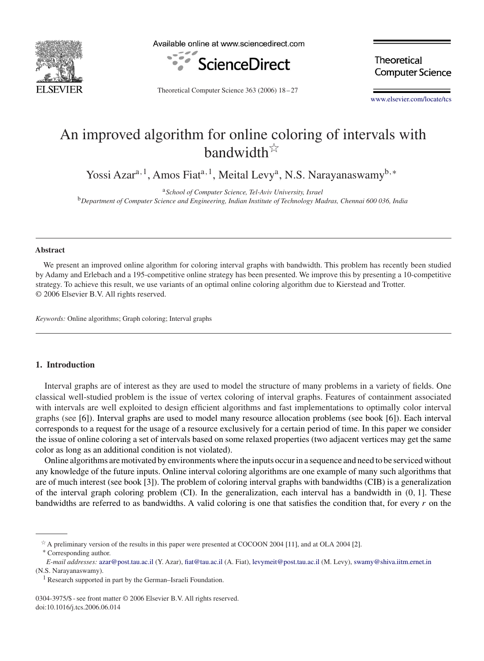

Available online at www.sciencedirect.com



**Theoretical Computer Science** 

Theoretical Computer Science 363 (2006) 18 – 27

[www.elsevier.com/locate/tcs](http://www.elsevier.com/locate/tcs)

# An improved algorithm for online coloring of intervals with bandwidth $\overrightarrow{x}$

Yossi Azara*,*1, Amos Fiata*,*1, Meital Levya, N.S. Narayanaswamyb*,*<sup>∗</sup>

<sup>a</sup>*School of Computer Science, Tel-Aviv University, Israel* <sup>b</sup>*Department of Computer Science and Engineering, Indian Institute of Technology Madras, Chennai 600 036, India*

#### **Abstract**

We present an improved online algorithm for coloring interval graphs with bandwidth. This problem has recently been studied by Adamy and Erlebach and a 195-competitive online strategy has been presented. We improve this by presenting a 10-competitive strategy. To achieve this result, we use variants of an optimal online coloring algorithm due to Kierstead and Trotter. © 2006 Elsevier B.V. All rights reserved.

*Keywords:* Online algorithms; Graph coloring; Interval graphs

# **1. Introduction**

Interval graphs are of interest as they are used to model the structure of many problems in a variety of fields. One classical well-studied problem is the issue of vertex coloring of interval graphs. Features of containment associated with intervals are well exploited to design efficient algorithms and fast implementations to optimally color interval graphs (see [\[6\]\)](#page-9-0). Interval graphs are used to model many resource allocation problems (see book [\[6\]\)](#page-9-0). Each interval corresponds to a request for the usage of a resource exclusively for a certain period of time. In this paper we consider the issue of online coloring a set of intervals based on some relaxed properties (two adjacent vertices may get the same color as long as an additional condition is not violated).

Online algorithms are motivated by environments where the inputs occur in a sequence and need to be serviced without any knowledge of the future inputs. Online interval coloring algorithms are one example of many such algorithms that are of much interest (see book [\[3\]\)](#page-9-0). The problem of coloring interval graphs with bandwidths (CIB) is a generalization of the interval graph coloring problem (CI). In the generalization, each interval has a bandwidth in *(*0*,* 1]. These bandwidths are referred to as bandwidths. A valid coloring is one that satisfies the condition that, for every *r* on the

0304-3975/\$ - see front matter © 2006 Elsevier B.V. All rights reserved. doi:10.1016/j.tcs.2006.06.014

A preliminary version of the results in this paper were presented at COCOON 2004 [\[11\],](#page-9-0) and at OLA 2004 [\[2\].](#page-9-0) <sup>∗</sup> Corresponding author.

*E-mail addresses:* [azar@post.tau.ac.il](mailto:azar@post.tau.ac.il) (Y. Azar), [fiat@tau.ac.il](mailto:fiat@tau.ac.il) (A. Fiat), [levymeit@post.tau.ac.il](mailto:levymeit@post.tau.ac.il) (M. Levy), [swamy@shiva.iitm.ernet.in](mailto:swamy@shiva.iitm.ernet.in) (N.S. Narayanaswamy).

Research supported in part by the German–Israeli Foundation.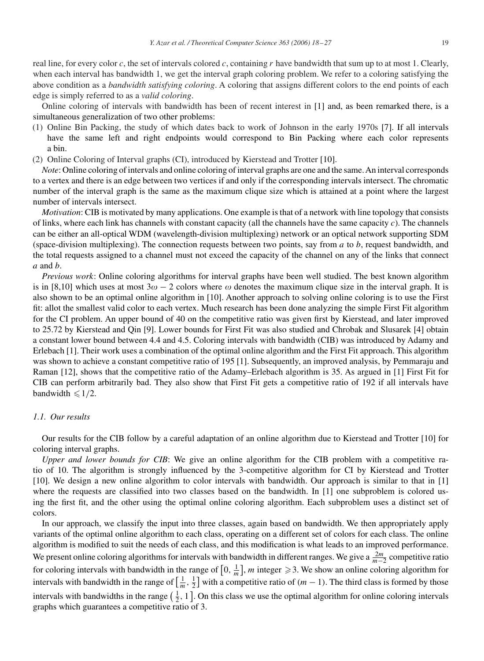real line, for every color *c*, the set of intervals colored *c*, containing *r* have bandwidth that sum up to at most 1. Clearly, when each interval has bandwidth 1, we get the interval graph coloring problem. We refer to a coloring satisfying the above condition as a *bandwidth satisfying coloring*. A coloring that assigns different colors to the end points of each edge is simply referred to as a *valid coloring*.

Online coloring of intervals with bandwidth has been of recent interest in [\[1\]](#page-9-0) and, as been remarked there, is a simultaneous generalization of two other problems:

- (1) Online Bin Packing, the study of which dates back to work of Johnson in the early 1970s [\[7\].](#page-9-0) If all intervals have the same left and right endpoints would correspond to Bin Packing where each color represents a bin.
- (2) Online Coloring of Interval graphs (CI), introduced by Kierstead and Trotter [\[10\].](#page-9-0)

*Note*: Online coloring of intervals and online coloring of interval graphs are one and the same. An interval corresponds to a vertex and there is an edge between two vertices if and only if the corresponding intervals intersect. The chromatic number of the interval graph is the same as the maximum clique size which is attained at a point where the largest number of intervals intersect.

*Motivation*: CIB is motivated by many applications. One example is that of a network with line topology that consists of links, where each link has channels with constant capacity (all the channels have the same capacity *c*). The channels can be either an all-optical WDM (wavelength-division multiplexing) network or an optical network supporting SDM (space-division multiplexing). The connection requests between two points, say from *a* to *b*, request bandwidth, and the total requests assigned to a channel must not exceed the capacity of the channel on any of the links that connect *a* and *b*.

*Previous work*: Online coloring algorithms for interval graphs have been well studied. The best known algorithm is in [\[8,10\]](#page-9-0) which uses at most  $3\omega - 2$  colors where  $\omega$  denotes the maximum clique size in the interval graph. It is also shown to be an optimal online algorithm in [\[10\].](#page-9-0) Another approach to solving online coloring is to use the First fit: allot the smallest valid color to each vertex. Much research has been done analyzing the simple First Fit algorithm for the CI problem. An upper bound of 40 on the competitive ratio was given first by Kierstead, and later improved to 25.72 by Kierstead and Qin [\[9\].](#page-9-0) Lower bounds for First Fit was also studied and Chrobak and Slusarek [\[4\]](#page-9-0) obtain a constant lower bound between 4.4 and 4.5. Coloring intervals with bandwidth (CIB) was introduced by Adamy and Erlebach [\[1\].](#page-9-0) Their work uses a combination of the optimal online algorithm and the First Fit approach. This algorithm was shown to achieve a constant competitive ratio of 195 [\[1\].](#page-9-0) Subsequently, an improved analysis, by Pemmaraju and Raman [\[12\],](#page-9-0) shows that the competitive ratio of the Adamy–Erlebach algorithm is 35. As argued in [\[1\]](#page-9-0) First Fit for CIB can perform arbitrarily bad. They also show that First Fit gets a competitive ratio of 192 if all intervals have bandwidth  $\leq 1/2$ .

## *1.1. Our results*

Our results for the CIB follow by a careful adaptation of an online algorithm due to Kierstead and Trotter [\[10\]](#page-9-0) for coloring interval graphs.

*Upper and lower bounds for CIB*: We give an online algorithm for the CIB problem with a competitive ratio of 10. The algorithm is strongly influenced by the 3-competitive algorithm for CI by Kierstead and Trotter [\[10\].](#page-9-0) We design a new online algorithm to color intervals with bandwidth. Our approach is similar to that in [\[1\]](#page-9-0) where the requests are classified into two classes based on the bandwidth. In [\[1\]](#page-9-0) one subproblem is colored using the first fit, and the other using the optimal online coloring algorithm. Each subproblem uses a distinct set of colors.

In our approach, we classify the input into three classes, again based on bandwidth. We then appropriately apply variants of the optimal online algorithm to each class, operating on a different set of colors for each class. The online algorithm is modified to suit the needs of each class, and this modification is what leads to an improved performance. We present online coloring algorithms for intervals with bandwidth in different ranges. We give a  $\frac{2m}{m-2}$  competitive ratio for coloring intervals with bandwidth in the range of  $[0, \frac{1}{m}]$ , m integer  $\geq 3$ . We show an online coloring algorithm for intervals with bandwidth in the range of  $\left[\frac{1}{m},\frac{1}{2}\right]$  with a competitive ratio of  $(m-1)$ . The third class is formed by those intervals with bandwidths in the range  $(\frac{1}{2}, 1]$ . On this class we use the optimal algorithm for online coloring intervals graphs which guarantees a competitive ratio of 3.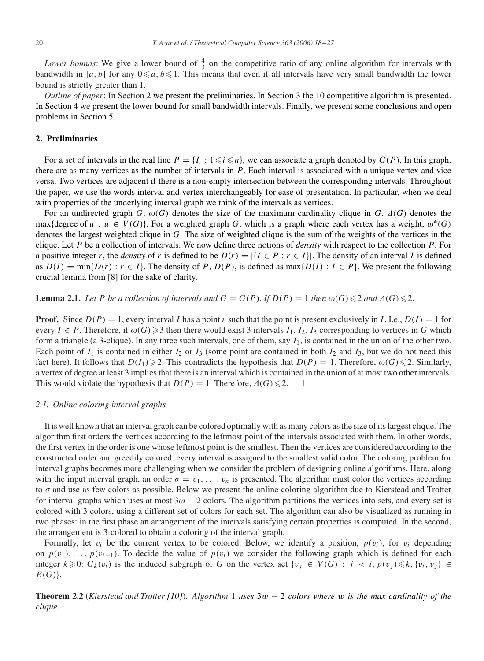<span id="page-2-0"></span>Lower bounds: We give a lower bound of  $\frac{4}{3}$  on the competitive ratio of any online algorithm for intervals with bandwidth in [*a*, *b*] for any  $0 \le a, b \le 1$ . This means that even if all intervals have very small bandwidth the lower bound is strictly greater than 1.

*Outline of paper*: In Section 2 we present the preliminaries. In Section [3](#page-3-0) the 10 competitive algorithm is presented. In Section [4](#page-6-0) we present the lower bound for small bandwidth intervals. Finally, we present some conclusions and open problems in Section [5.](#page-9-0)

# **2. Preliminaries**

For a set of intervals in the real line  $P = \{I_i : 1 \leq i \leq n\}$ , we can associate a graph denoted by  $G(P)$ . In this graph, there are as many vertices as the number of intervals in *P*. Each interval is associated with a unique vertex and vice versa. Two vertices are adjacent if there is a non-empty intersection between the corresponding intervals. Throughout the paper, we use the words interval and vertex interchangeably for ease of presentation. In particular, when we deal with properties of the underlying interval graph we think of the intervals as vertices.

For an undirected graph  $G$ ,  $\omega(G)$  denotes the size of the maximum cardinality clique in  $G$ .  $\Delta(G)$  denotes the max{degree of  $u : u \in V(G)$ }. For a weighted graph *G*, which is a graph where each vertex has a weight,  $\omega^*(G)$ denotes the largest weighted clique in *G*. The size of weighted clique is the sum of the weights of the vertices in the clique. Let *P* be a collection of intervals. We now define three notions of *density* with respect to the collection *P*. For a positive integer *r*, the *density* of *r* is defined to be  $D(r) = |\{I \in P : r \in I\}|$ . The density of an interval *I* is defined as  $D(I) = \min\{D(r) : r \in I\}$ . The density of *P*,  $D(P)$ , is defined as  $\max\{D(I) : I \in P\}$ . We present the following crucial lemma from [\[8\]](#page-9-0) for the sake of clarity.

**Lemma 2.1.** Let P be a collection of intervals and  $G = G(P)$ . If  $D(P) = 1$  then  $\omega(G) \leq 2$  and  $\Delta(G) \leq 2$ .

**Proof.** Since  $D(P) = 1$ , every interval *I* has a point *r* such that the point is present exclusively in *I*. I.e.,  $D(I) = 1$  for every  $I \in P$ . Therefore, if  $\omega(G) \geq 3$  then there would exist 3 intervals  $I_1$ ,  $I_2$ ,  $I_3$  corresponding to vertices in *G* which form a triangle (a 3-clique). In any three such intervals, one of them, say  $I_1$ , is contained in the union of the other two. Each point of  $I_1$  is contained in either  $I_2$  or  $I_3$  (some point are contained in both  $I_2$  and  $I_3$ , but we do not need this fact here). It follows that  $D(I_1) \geq 2$ . This contradicts the hypothesis that  $D(P) = 1$ . Therefore,  $\omega(G) \leq 2$ . Similarly, a vertex of degree at least 3 implies that there is an interval which is contained in the union of at most two other intervals. This would violate the hypothesis that  $D(P) = 1$ . Therefore,  $\Delta(G) \leq 2$ .  $\Box$ 

#### *2.1. Online coloring interval graphs*

It is well known that an interval graph can be colored optimally with as many colors as the size of its largest clique. The algorithm first orders the vertices according to the leftmost point of the intervals associated with them. In other words, the first vertex in the order is one whose leftmost point is the smallest. Then the vertices are considered according to the constructed order and greedily colored: every interval is assigned to the smallest valid color. The coloring problem for interval graphs becomes more challenging when we consider the problem of designing online algorithms. Here, along with the input interval graph, an order  $\sigma = v_1, \ldots, v_n$  is presented. The algorithm must color the vertices according to  $\sigma$  and use as few colors as possible. Below we present the online coloring algorithm due to Kierstead and Trotter for interval graphs which uses at most  $3\omega - 2$  colors. The algorithm partitions the vertices into sets, and every set is colored with 3 colors, using a different set of colors for each set. The algorithm can also be visualized as running in two phases: in the first phase an arrangement of the intervals satisfying certain properties is computed. In the second, the arrangement is 3-colored to obtain a coloring of the interval graph.

Formally, let  $v_i$  be the current vertex to be colored. Below, we identify a position,  $p(v_i)$ , for  $v_i$  depending on  $p(v_1), \ldots, p(v_{i-1})$ . To decide the value of  $p(v_i)$  we consider the following graph which is defined for each integer  $k \geq 0$ :  $G_k(v_i)$  is the induced subgraph of *G* on the vertex set  $\{v_j \in V(G) : j < i, p(v_j) \leq k, \{v_i, v_j\} \in$ *E(G)*}.

**Theorem 2.2** (*Kierstead and Trotter [\[10\]](#page-9-0)*). *Algorithm* [1](#page-3-0) *uses* 3*w* − 2 *colors where w is the max cardinality of the clique*.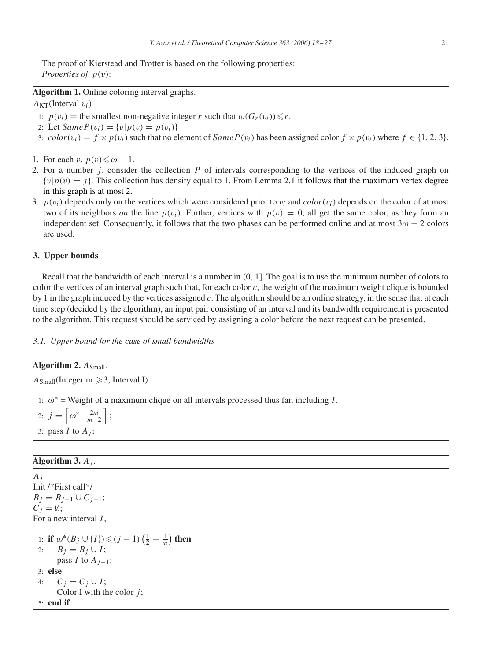<span id="page-3-0"></span>The proof of Kierstead and Trotter is based on the following properties: *Properties of p(v)*:

# **Algorithm 1.** Online coloring interval graphs.

# $A_{KT}$ (Interval  $v_i$ )

1:  $p(v_i)$  = the smallest non-negative integer *r* such that  $\omega(G_r(v_i)) \leq r$ .

- 2: Let  $SameP(v_i) = \{v | p(v) = p(v_i)\}\$
- 3:  $color(v_i) = f \times p(v_i)$  such that no element of  $SameP(v_i)$  has been assigned color  $f \times p(v_i)$  where  $f \in \{1, 2, 3\}$ .

1. For each *v*,  $p(v) \leq \omega - 1$ .

- 2. For a number *j* , consider the collection *P* of intervals corresponding to the vertices of the induced graph on  $\{v|p(v) = i\}$ . This collection has density equal to 1. From Lemma [2.1](#page-2-0) it follows that the maximum vertex degree in this graph is at most 2.
- 3.  $p(v_i)$  depends only on the vertices which were considered prior to  $v_i$  and  $color(v_i)$  depends on the color of at most two of its neighbors *on* the line  $p(v_i)$ . Further, vertices with  $p(v) = 0$ , all get the same color, as they form an independent set. Consequently, it follows that the two phases can be performed online and at most  $3\omega - 2$  colors are used.

## **3. Upper bounds**

Recall that the bandwidth of each interval is a number in *(*0*,* 1]. The goal is to use the minimum number of colors to color the vertices of an interval graph such that, for each color *c*, the weight of the maximum weight clique is bounded by 1 in the graph induced by the vertices assigned *c*. The algorithm should be an online strategy, in the sense that at each time step (decided by the algorithm), an input pair consisting of an interval and its bandwidth requirement is presented to the algorithm. This request should be serviced by assigning a color before the next request can be presented.

## *3.1. Upper bound for the case of small bandwidths*

## Algorithm 2.  $A_{Small}$ .

 $A_{Small}$ (Integer m  $\geqslant$  3, Interval I)

1:  $\omega^*$  = Weight of a maximum clique on all intervals processed thus far, including *I*.

2:  $j = \left[\omega^* \cdot \frac{2m}{m-2}\right]$ ; 3: pass  $I$  to  $A_i$ ;

# **Algorithm 3.** *Aj* .

*Aj* Init /\*First call\*/ *B*<sub>*j*</sub> = *B*<sub>*j*−1</sub> $\cup$   $C$ <sub>*j*−1</sub>;  $C_i = \emptyset;$ For a new interval *I* , 1: **if**  $\omega^*(B_j \cup \{I\}) \leq (j-1)\left(\frac{1}{2} - \frac{1}{m}\right)$  then 2:  $B_j = B_j \cup I;$ pass *I* to  $A_{i-1}$ ; 3: **else** 4:  $C_j = C_j \cup I;$ Color I with the color *j* ; 5: **end if**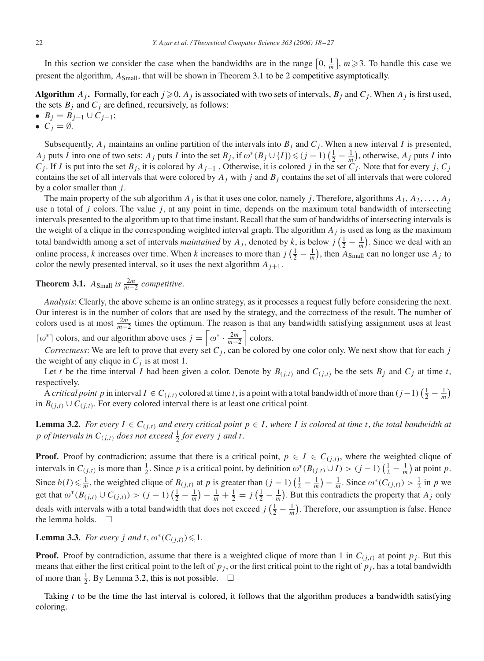<span id="page-4-0"></span>In this section we consider the case when the bandwidths are in the range  $\left[0, \frac{1}{m}\right]$ ,  $m \geq 3$ . To handle this case we present the algorithm, *A*Small, that will be shown in Theorem 3.1 to be 2 competitive asymptotically.

**Algorithm**  $A_j$ . Formally, for each  $j \ge 0$ ,  $A_j$  is associated with two sets of intervals,  $B_j$  and  $C_j$ . When  $A_j$  is first used, the sets  $B_j$  and  $C_j$  are defined, recursively, as follows:

- $\bullet$  *B<sub>i</sub>* = *B<sub>i−1</sub>* ∪ *C<sub>i−1</sub>*;
- $C_j = \emptyset$ .

Subsequently,  $A_j$  maintains an online partition of the intervals into  $B_j$  and  $C_j$ . When a new interval *I* is presented, *A<sub>j</sub>* puts *I* into one of two sets: *A<sub>j</sub>* puts *I* into the set  $B_j$ , if  $\omega^*(B_j \cup \{I\}) \leq (j-1)\left(\frac{1}{2} - \frac{1}{m}\right)$ , otherwise,  $A_j$  puts *I* into *Cj*. If *I* is put into the set *B<sub>j</sub>*, it is colored by *A<sub>j−1</sub>*. Otherwise, it is colored *j* in the set  $C_j$ . Note that for every *j*,  $C_j$ contains the set of all intervals that were colored by  $A_j$  with  $j$  and  $B_j$  contains the set of all intervals that were colored by a color smaller than *j* .

The main property of the sub algorithm *Aj* is that it uses one color, namely *j* . Therefore, algorithms *A*1*, A*2*,...,Aj* use a total of *j* colors. The value *j* , at any point in time, depends on the maximum total bandwidth of intersecting intervals presented to the algorithm up to that time instant. Recall that the sum of bandwidths of intersecting intervals is the weight of a clique in the corresponding weighted interval graph. The algorithm *Aj* is used as long as the maximum total bandwidth among a set of intervals *maintained* by  $A_j$ , denoted by k, is below  $j\left(\frac{1}{2} - \frac{1}{m}\right)$ . Since we deal with an online process, *k* increases over time. When *k* increases to more than  $j\left(\frac{1}{2} - \frac{1}{m}\right)$ , then  $A_{Small}$  can no longer use  $A_j$  to color the newly presented interval, so it uses the next algorithm  $A_{i+1}$ .

**Theorem 3.1.** *A*<sub>Small</sub> *is*  $\frac{2m}{m-2}$  *competitive.* 

*Analysis*: Clearly, the above scheme is an online strategy, as it processes a request fully before considering the next. Our interest is in the number of colors that are used by the strategy, and the correctness of the result. The number of colors used is at most  $\frac{2m}{m-2}$  times the optimum. The reason is that any bandwidth satisfying assignment uses at least

 $\lceil \omega^* \rceil$  colors, and our algorithm above uses  $j = \lceil \omega^* \cdot \frac{2m}{m-2} \rceil$  colors.

*Correctness*: We are left to prove that every set  $C_j$ , can be colored by one color only. We next show that for each *j* the weight of any clique in  $C_j$  is at most 1.

Let *t* be the time interval *I* had been given a color. Denote by  $B_{(j,t)}$  and  $C_{(j,t)}$  be the sets  $B_j$  and  $C_j$  at time *t*, respectively.

A *critical point p* in interval  $I \in C_{(j,t)}$  colored at time *t*, is a point with a total bandwidth of more than  $(j-1)\left(\frac{1}{2}-\frac{1}{m}\right)$ in *B*(*j,t*) ∪  $C$ (*j,t*). For every colored interval there is at least one critical point.

**Lemma 3.2.** For every  $I \in C_{(j,t)}$  and every critical point  $p \in I$ , where I is colored at time t, the total bandwidth at *p of intervals in*  $C_{(j,t)}$  *does not exceed*  $\frac{1}{2}$  *for every j and t*.

**Proof.** Proof by contradiction; assume that there is a critical point,  $p \in I \in C_{(j,t)}$ , where the weighted clique of intervals in  $C_{(j,t)}$  is more than  $\frac{1}{2}$ . Since *p* is a critical point, by definition  $\omega^*(B_{(j,t)} \cup I) > (j-1)\left(\frac{1}{2} - \frac{1}{m}\right)$  at point *p*. Since  $b(I) \leq \frac{1}{m}$ , the weighted clique of  $B(j,t)$  at *p* is greater than  $(j-1)\left(\frac{1}{2} - \frac{1}{m}\right) - \frac{1}{m}$ . Since  $\omega^*(C(j,t)) > \frac{1}{2}$  in *p* we get that  $\omega^*(B_{(j,t)} \cup C_{(j,t)}) > (j-1)\left(\frac{1}{2} - \frac{1}{m}\right) - \frac{1}{m} + \frac{1}{2} = j\left(\frac{1}{2} - \frac{1}{m}\right)$ . But this contradicts the property that *A<sub>j</sub>* only deals with intervals with a total bandwidth that does not exceed  $j\left(\frac{1}{2} - \frac{1}{m}\right)$ . Therefore, our assumption is false. Hence the lemma holds.  $\square$ 

**Lemma 3.3.** *For every j and t*,  $\omega^*(C_{(i,t)}) \leq 1$ .

**Proof.** Proof by contradiction, assume that there is a weighted clique of more than 1 in  $C_{(j,t)}$  at point  $p_j$ . But this means that either the first critical point to the left of  $p_j$ , or the first critical point to the right of  $p_j$ , has a total bandwidth of more than  $\frac{1}{2}$ . By Lemma 3.2, this is not possible.  $\Box$ 

Taking *t* to be the time the last interval is colored, it follows that the algorithm produces a bandwidth satisfying coloring.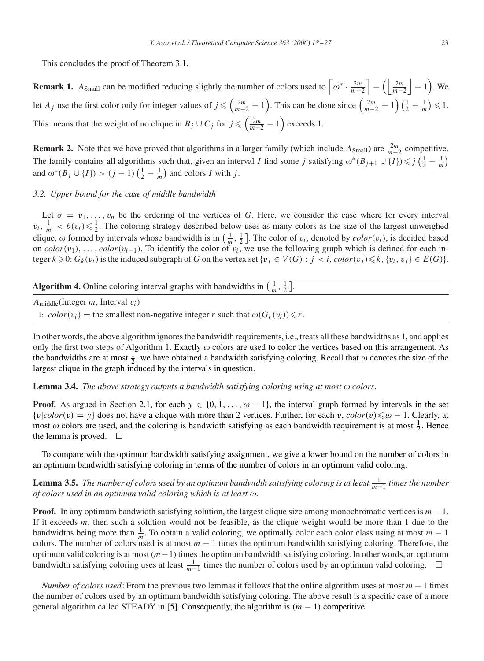This concludes the proof of Theorem [3.1.](#page-4-0)

**Remark 1.**  $A_{\text{Small}}$  can be modified reducing slightly the number of colors used to  $\left[\omega^* \cdot \frac{2m}{m-2}\right] - \left(\left|\frac{2m}{m-2}\right| - 1\right)$ . We let *A<sub>j</sub>* use the first color only for integer values of  $j \leq \left(\frac{2m}{m-2} - 1\right)$ . This can be done since  $\left(\frac{2m}{m-2} - 1\right) \left(\frac{1}{2} - \frac{1}{m}\right) \leq 1$ . This means that the weight of no clique in  $B_j \cup C_j$  for  $j \leq \left(\frac{2m}{m-2} - 1\right)$  exceeds 1.

**Remark 2.** Note that we have proved that algorithms in a larger family (which include  $A_{Small}$ ) are  $\frac{2m}{m-2}$  competitive. The family contains all algorithms such that, given an interval *I* find some *j* satisfying  $\omega^*(B_{j+1} \cup \{I\}) \leq j\left(\frac{1}{2} - \frac{1}{m}\right)$ and  $\omega^*(B_j \cup \{I\}) > (j-1)\left(\frac{1}{2} - \frac{1}{m}\right)$  and colors *I* with *j*.

# *3.2. Upper bound for the case of middle bandwidth*

Let  $\sigma = v_1, \ldots, v_n$  be the ordering of the vertices of *G*. Here, we consider the case where for every interval  $v_i$ ,  $\frac{1}{m}$  <  $b(v_i) \leq \frac{1}{2}$ . The coloring strategy described below uses as many colors as the size of the largest unweighed clique,  $\omega$  formed by intervals whose bandwidth is in  $\left(\frac{1}{m}, \frac{1}{2}\right]$ . The color of  $v_i$ , denoted by  $color(v_i)$ , is decided based on  $color(v_1), \ldots, color(v_{i-1})$ . To identify the color of  $v_i$ , we use the following graph which is defined for each integer  $k \geq 0$ :  $G_k(v_i)$  is the induced subgraph of *G* on the vertex set  $\{v_j \in V(G) : j < i$ ,  $color(v_j) \leq k$ ,  $\{v_i, v_j\} \in E(G)\}$ .

| <b>Algorithm 4.</b> Online coloring interval graphs with bandwidths in $\left(\frac{1}{m}, \frac{1}{2}\right]$ . |  |
|------------------------------------------------------------------------------------------------------------------|--|
|                                                                                                                  |  |

*A*middle(Integer *m*, Interval *vi*)

1:  $color(v_i)$  = the smallest non-negative integer *r* such that  $\omega(G_r(v_i)) \le r$ .

In other words, the above algorithm ignores the bandwidth requirements, i.e., treats all these bandwidths as 1, and applies only the first two steps of Algorithm [1.](#page-3-0) Exactly  $\omega$  colors are used to color the vertices based on this arrangement. As the bandwidths are at most  $\frac{1}{2}$ , we have obtained a bandwidth satisfying coloring. Recall that  $\omega$  denotes the size of the largest clique in the graph induced by the intervals in question.

## **Lemma 3.4.** *The above strategy outputs a bandwidth satisfying coloring using at most colors*.

**Proof.** As argued in Section [2.1,](#page-2-0) for each  $y \in \{0, 1, \ldots, \omega - 1\}$ , the interval graph formed by intervals in the set  ${v|color(v) = y}$  does not have a clique with more than 2 vertices. Further, for each *v*,  $color(v) \leq \omega - 1$ . Clearly, at most  $\omega$  colors are used, and the coloring is bandwidth satisfying as each bandwidth requirement is at most  $\frac{1}{2}$ . Hence the lemma is proved.  $\square$ 

To compare with the optimum bandwidth satisfying assignment, we give a lower bound on the number of colors in an optimum bandwidth satisfying coloring in terms of the number of colors in an optimum valid coloring.

**Lemma 3.5.** *The number of colors used by an optimum bandwidth satisfying coloring is at least*  $\frac{1}{m-1}$  *times the number of colors used in an optimum valid coloring which is at least*  $\omega$ *.* 

**Proof.** In any optimum bandwidth satisfying solution, the largest clique size among monochromatic vertices is *m* − 1. If it exceeds *m*, then such a solution would not be feasible, as the clique weight would be more than 1 due to the bandwidths being more than  $\frac{1}{m}$ . To obtain a valid coloring, we optimally color each color class using at most  $m-1$ colors. The number of colors used is at most *m* − 1 times the optimum bandwidth satisfying coloring. Therefore, the optimum valid coloring is at most*(m*−1*)*times the optimum bandwidth satisfying coloring. In other words, an optimum bandwidth satisfying coloring uses at least  $\frac{1}{m-1}$  times the number of colors used by an optimum valid coloring. □

*Number of colors used*: From the previous two lemmas it follows that the online algorithm uses at most *m* − 1 times the number of colors used by an optimum bandwidth satisfying coloring. The above result is a specific case of a more general algorithm called STEADY in [\[5\].](#page-9-0) Consequently, the algorithm is  $(m - 1)$  competitive.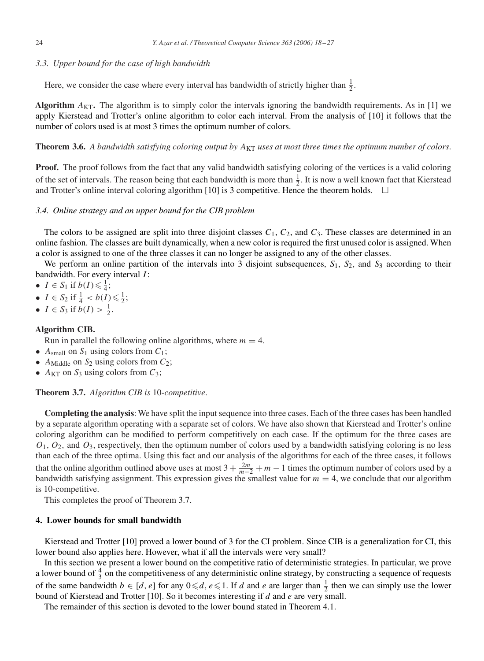## <span id="page-6-0"></span>*3.3. Upper bound for the case of high bandwidth*

Here, we consider the case where every interval has bandwidth of strictly higher than  $\frac{1}{2}$ .

**Algorithm**  $A_{KT}$ . The algorithm is to simply color the intervals ignoring the bandwidth requirements. As in [\[1\]](#page-9-0) we apply Kierstead and Trotter's online algorithm to color each interval. From the analysis of [\[10\]](#page-9-0) it follows that the number of colors used is at most 3 times the optimum number of colors.

**Theorem 3.6.** *A bandwidth satisfying coloring output by A<sub>KT</sub> uses at most three times the optimum number of colors.* 

**Proof.** The proof follows from the fact that any valid bandwidth satisfying coloring of the vertices is a valid coloring of the set of intervals. The reason being that each bandwidth is more than  $\frac{1}{2}$ . It is now a well known fact that Kierstead and Trotter's online interval coloring algorithm [\[10\]](#page-9-0) is 3 competitive. Hence the theorem holds.  $\square$ 

## *3.4. Online strategy and an upper bound for the CIB problem*

The colors to be assigned are split into three disjoint classes  $C_1$ ,  $C_2$ , and  $C_3$ . These classes are determined in an online fashion. The classes are built dynamically, when a new color is required the first unused color is assigned. When a color is assigned to one of the three classes it can no longer be assigned to any of the other classes.

We perform an online partition of the intervals into 3 disjoint subsequences,  $S_1$ ,  $S_2$ , and  $S_3$  according to their bandwidth. For every interval *I* :

- $I \in S_1$  if  $b(I) \leq \frac{1}{4}$ ;
- $I \in S_2$  if  $\frac{1}{4} < b(I) \leq \frac{1}{2}$ ;
- $I \in S_3$  if  $b(I) > \frac{1}{2}$ .

## **Algorithm CIB.**

Run in parallel the following online algorithms, where  $m = 4$ .

- $A_{small}$  on  $S_1$  using colors from  $C_1$ ;
- $A_{\text{Midtle}}$  on  $S_2$  using colors from  $C_2$ ;
- $A_{KT}$  on  $S_3$  using colors from  $C_3$ ;

# **Theorem 3.7.** *Algorithm CIB is* 10-*competitive*.

**Completing the analysis**: We have split the input sequence into three cases. Each of the three cases has been handled by a separate algorithm operating with a separate set of colors. We have also shown that Kierstead and Trotter's online coloring algorithm can be modified to perform competitively on each case. If the optimum for the three cases are  $O_1$ ,  $O_2$ , and  $O_3$ , respectively, then the optimum number of colors used by a bandwidth satisfying coloring is no less than each of the three optima. Using this fact and our analysis of the algorithms for each of the three cases, it follows that the online algorithm outlined above uses at most  $3 + \frac{2m}{m-2} + m - 1$  times the optimum number of colors used by a bandwidth satisfying assignment. This expression gives the smallest value for  $m = 4$ , we conclude that our algorithm is 10-competitive.

This completes the proof of Theorem 3.7.

## **4. Lower bounds for small bandwidth**

Kierstead and Trotter [\[10\]](#page-9-0) proved a lower bound of 3 for the CI problem. Since CIB is a generalization for CI, this lower bound also applies here. However, what if all the intervals were very small?

In this section we present a lower bound on the competitive ratio of deterministic strategies. In particular, we prove a lower bound of  $\frac{4}{3}$  on the competitiveness of any deterministic online strategy, by constructing a sequence of requests of the same bandwidth  $b \in [d, e]$  for any  $0 \le d, e \le 1$ . If *d* and *e* are larger than  $\frac{1}{2}$  then we can simply use the lower bound of Kierstead and Trotter [\[10\].](#page-9-0) So it becomes interesting if *d* and *e* are very small.

The remainder of this section is devoted to the lower bound stated in Theorem 4.1.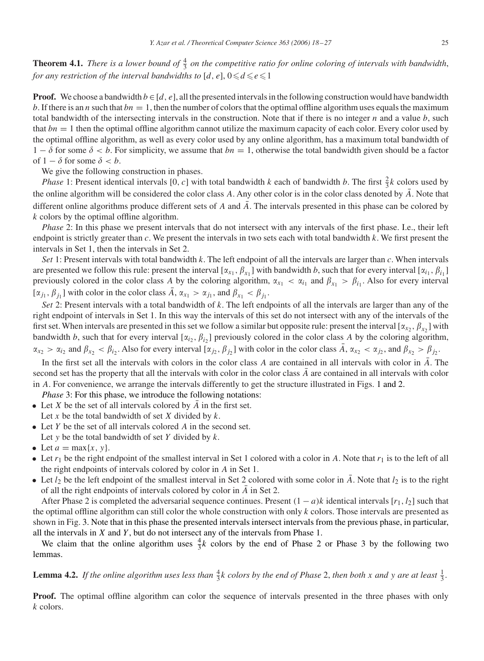<span id="page-7-0"></span>**Theorem 4.1.** *There is a lower bound of*  $\frac{4}{3}$  *on the competitive ratio for online coloring of intervals with bandwidth*, *for any restriction of the interval bandwidths to*  $[d, e]$ ,  $0 \le d \le e \le 1$ 

**Proof.** We choose a bandwidth  $b \in [d, e]$ , all the presented intervals in the following construction would have bandwidth *b*. If there is an *n* such that  $bn = 1$ , then the number of colors that the optimal offline algorithm uses equals the maximum total bandwidth of the intersecting intervals in the construction. Note that if there is no integer *n* and a value *b*, such that *bn* = 1 then the optimal offline algorithm cannot utilize the maximum capacity of each color. Every color used by the optimal offline algorithm, as well as every color used by any online algorithm, has a maximum total bandwidth of  $1 - \delta$  for some  $\delta < b$ . For simplicity, we assume that  $bn = 1$ , otherwise the total bandwidth given should be a factor of  $1 - \delta$  for some  $\delta < b$ .

We give the following construction in phases.

*Phase* 1: Present identical intervals [0, c] with total bandwidth *k* each of bandwidth *b*. The first  $\frac{2}{3}k$  colors used by the online algorithm will be considered the color class *A*. Any other color is in the color class denoted by *A*. Note that different online algorithms produce different sets of  $A$  and  $\overline{A}$ . The intervals presented in this phase can be colored by *k* colors by the optimal offline algorithm.

*Phase* 2: In this phase we present intervals that do not intersect with any intervals of the first phase. I.e., their left endpoint is strictly greater than *c*. We present the intervals in two sets each with total bandwidth *k*. We first present the intervals in Set 1, then the intervals in Set 2.

*Set* 1: Present intervals with total bandwidth *k*. The left endpoint of all the intervals are larger than *c*. When intervals are presented we follow this rule: present the interval  $[\alpha_{x_1}, \beta_{x_1}]$  with bandwidth *b*, such that for every interval  $[\alpha_{i_1}, \beta_{i_1}]$ previously colored in the color class *A* by the coloring algorithm,  $\alpha_{x_1} < \alpha_{i_1}$  and  $\beta_{x_1} > \beta_{i_1}$ . Also for every interval  $[\alpha_{j_1}, \beta_{j_1}]$  with color in the color class  $\overline{A}$ ,  $\alpha_{x_1} > \alpha_{j_1}$ , and  $\beta_{x_1} < \beta_{j_1}$ .

*Set* 2: Present intervals with a total bandwidth of *k*. The left endpoints of all the intervals are larger than any of the right endpoint of intervals in Set 1. In this way the intervals of this set do not intersect with any of the intervals of the first set. When intervals are presented in this set we follow a similar but opposite rule: present the interval  $[\alpha_{x_2}, \beta_{x_2}]$  with bandwidth *b*, such that for every interval  $[\alpha_{i_2}, \beta_{i_2}]$  previously colored in the color class *A* by the coloring algorithm,  $\alpha_{x_2} > \alpha_{i_2}$  and  $\beta_{x_2} < \beta_{i_2}$ . Also for every interval  $[\alpha_{j_2}, \beta_{j_2}]$  with color in the color class  $\overline{A}$ ,  $\alpha_{x_2} < \alpha_{j_2}$ , and  $\beta_{x_2} > \beta_{j_2}$ .

In the first set all the intervals with colors in the color class  $\vec{A}$  are contained in all intervals with color in  $\vec{A}$ . The second set has the property that all the intervals with color in the color class  $\overline{A}$  are contained in all intervals with color in *A*. For convenience, we arrange the intervals differently to get the structure illustrated in Figs. [1](#page-8-0) and [2.](#page-8-0)

*Phase* 3: For this phase, we introduce the following notations:

- Let  $X$  be the set of all intervals colored by  $A$  in the first set. Let *x* be the total bandwidth of set *X* divided by *k*.
- Let *Y* be the set of all intervals colored *A* in the second set.
- Let *y* be the total bandwidth of set *Y* divided by *k*.
- Let  $a = \max\{x, y\}$ .
- Let  $r_1$  be the right endpoint of the smallest interval in Set 1 colored with a color in *A*. Note that  $r_1$  is to the left of all the right endpoints of intervals colored by color in *A* in Set 1.
- Let  $l_2$  be the left endpoint of the smallest interval in Set 2 colored with some color in *A*. Note that  $l_2$  is to the right of all the right endpoints of intervals colored by color in *A* in Set 2.

After Phase 2 is completed the adversarial sequence continues. Present  $(1 - a)k$  identical intervals  $[r_1, l_2]$  such that the optimal offline algorithm can still color the whole construction with only *k* colors. Those intervals are presented as shown in Fig. [3.](#page-8-0) Note that in this phase the presented intervals intersect intervals from the previous phase, in particular, all the intervals in *X* and *Y* , but do not intersect any of the intervals from Phase 1.

We claim that the online algorithm uses  $\frac{4}{3}k$  colors by the end of Phase 2 or Phase 3 by the following two lemmas.

**Lemma 4.2.** If the online algorithm uses less than  $\frac{4}{3}k$  colors by the end of Phase 2, then both *x* and *y* are at least  $\frac{1}{3}$ .

**Proof.** The optimal offline algorithm can color the sequence of intervals presented in the three phases with only *k* colors.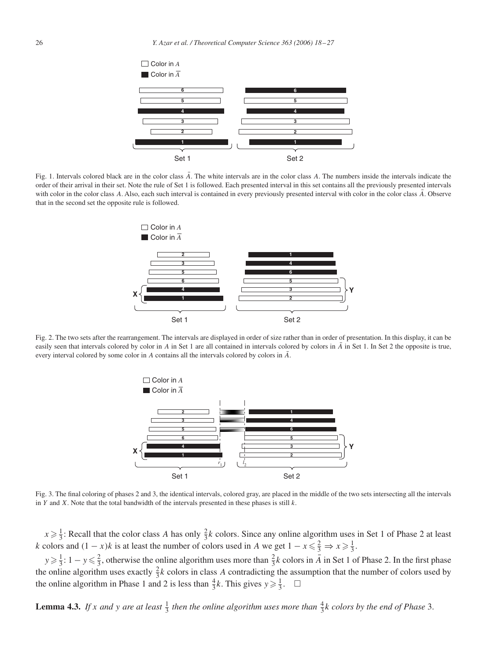<span id="page-8-0"></span>

Fig. 1. Intervals colored black are in the color class  $\overline{A}$ . The white intervals are in the color class  $\overline{A}$ . The numbers inside the intervals indicate the order of their arrival in their set. Note the rule of Set 1 is followed. Each presented interval in this set contains all the previously presented intervals with color in the color class  $\overline{A}$ . Also, each such interval is contained in every previously presented interval with color in the color class  $\overline{A}$ . Observe that in the second set the opposite rule is followed.



Fig. 2. The two sets after the rearrangement. The intervals are displayed in order of size rather than in order of presentation. In this display, it can be easily seen that intervals colored by color in *A* in Set 1 are all contained in intervals colored by colors in  $\overline{A}$  in Set 1. In Set 2 the opposite is true, every interval colored by some color in *A* contains all the intervals colored by colors in  $\overline{A}$ .



Fig. 3. The final coloring of phases 2 and 3, the identical intervals, colored gray, are placed in the middle of the two sets intersecting all the intervals in *Y* and *X*. Note that the total bandwidth of the intervals presented in these phases is still *k*.

 $x \ge \frac{1}{3}$ : Recall that the color class *A* has only  $\frac{2}{3}k$  colors. Since any online algorithm uses in Set 1 of Phase 2 at least *k* colors and  $(1 - x)k$  is at least the number of colors used in *A* we get  $1 - x \leq \frac{2}{3} \Rightarrow x \geq \frac{1}{3}$ .

 $y \ge \frac{1}{3}$ :  $1 - y \le \frac{2}{3}$ , otherwise the online algorithm uses more than  $\frac{2}{3}k$  colors in  $\overline{A}$  in Set 1 of Phase 2. In the first phase the online algorithm uses exactly  $\frac{2}{3}k$  colors in class *A* contradicting the assumption that the number of colors used by the online algorithm in Phase 1 and 2 is less than  $\frac{4}{3}k$ . This gives  $y \ge \frac{1}{3}$ .  $\Box$ 

**Lemma 4.3.** If *x* and *y* are at least  $\frac{1}{3}$  then the online algorithm uses more than  $\frac{4}{3}k$  colors by the end of Phase 3.